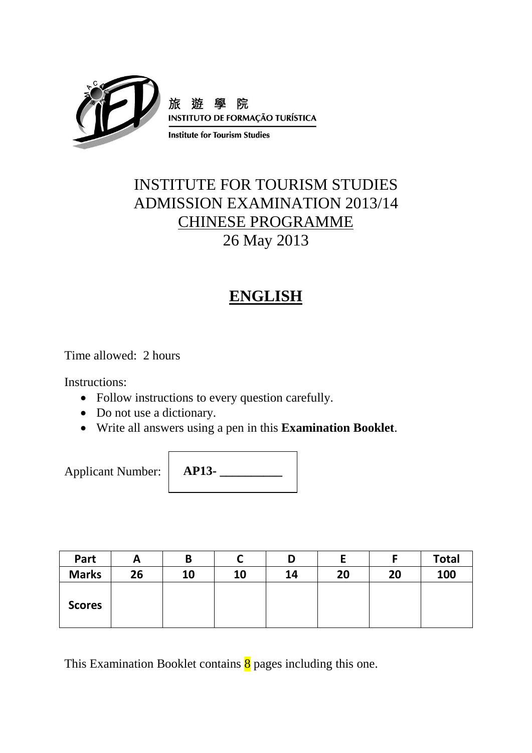

# INSTITUTE FOR TOURISM STUDIES ADMISSION EXAMINATION 2013/14 CHINESE PROGRAMME 26 May 2013

# **ENGLISH**

Time allowed: 2 hours

Instructions:

- Follow instructions to every question carefully.
- Do not use a dictionary.
- Write all answers using a pen in this **Examination Booklet**.

Applicant Number:

**AP13- \_\_\_\_\_\_\_\_\_\_**

| Part          | A  | B  |    | D  |    |    | <b>Total</b> |
|---------------|----|----|----|----|----|----|--------------|
| <b>Marks</b>  | 26 | 10 | 10 | 14 | 20 | 20 | 100          |
| <b>Scores</b> |    |    |    |    |    |    |              |

This Examination Booklet contains  $\frac{8}{9}$  pages including this one.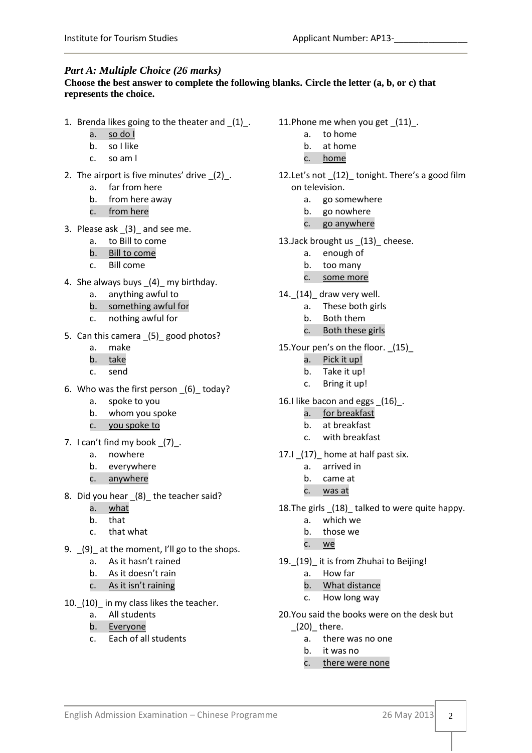## *Part A: Multiple Choice (26 marks)*

#### **Choose the best answer to complete the following blanks. Circle the letter (a, b, or c) that represents the choice.**

- 1. Brenda likes going to the theater and \_(1)\_.
	- a. so do I
	- b. so I like
	- c. so am I
- 2. The airport is five minutes' drive  $(2)$ .
	- a. far from here
	- b. from here away
	- c. from here
- 3. Please ask \_(3)\_ and see me.
	- a. to Bill to come
	- b. Bill to come
	- c. Bill come
- 4. She always buys \_(4)\_ my birthday.
	- a. anything awful to
	- b. something awful for
	- c. nothing awful for
- 5. Can this camera (5) good photos?
	- a. make
	- b. take
	- c. send
- 6. Who was the first person \_(6)\_ today?
	- a. spoke to you
	- b. whom you spoke
	- c. you spoke to
- 7. I can't find my book  $(7)$ .
	- a. nowhere
	- b. everywhere
	- c. anywhere
- 8. Did you hear (8) the teacher said?
	- a. what
	- b. that
	- c. that what
- 9. \_(9)\_ at the moment, I'll go to the shops.
	- a. As it hasn't rained
	- b. As it doesn't rain
	- c. As it isn't raining
- 10.\_(10)\_ in my class likes the teacher.
	- a. All students
	- b. Everyone
	- c. Each of all students
- 11.Phone me when you get \_(11)\_.
	- a. to home
	- b. at home
	- c. home
- 12. Let's not (12) tonight. There's a good film on television.
	- a. go somewhere
	- b. go nowhere
	- c. go anywhere
- 13.Jack brought us (13) cheese.
	- a. enough of
	- b. too many
	- c. some more
- 14.\_(14)\_ draw very well.
	- a. These both girls
	- b. Both them
	- c. Both these girls
- 15.Your pen's on the floor. \_(15)\_
	- a. Pick it up!
	- b. Take it up!
	- c. Bring it up!
- 16.I like bacon and eggs \_(16)\_.
	- a. for breakfast
	- b. at breakfast
	- c. with breakfast
- 17.I \_(17)\_ home at half past six.
	- a. arrived in
	- b. came at
	- c. was at
- 18.The girls \_(18)\_ talked to were quite happy.
	- a. which we
	- b. those we
	- c. we
- 19.\_(19)\_ it is from Zhuhai to Beijing!
	- a. How far
	- b. What distance
	- c. How long way
- 20.You said the books were on the desk but
	- $(20)$  there.
		- a. there was no one
		- b. it was no
		- c. there were none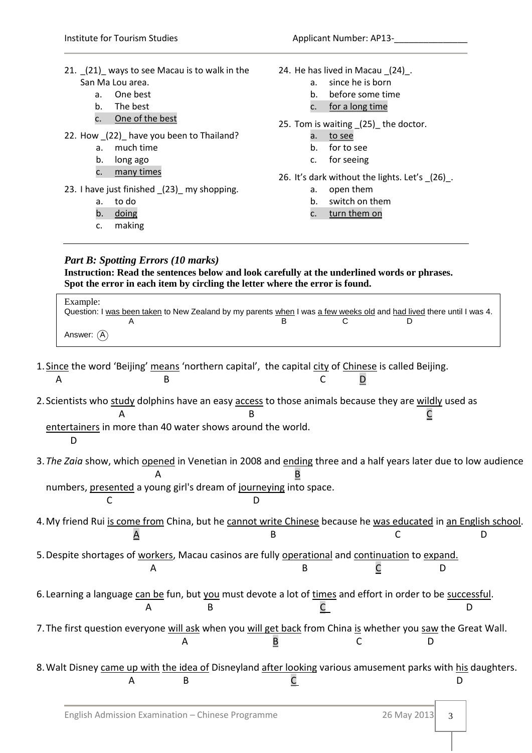21. \_(21)\_ ways to see Macau is to walk in the San Ma Lou area. a. One best b. The best c. One of the best 22. How (22) have you been to Thailand? a. much time b. long ago c. many times 23. I have just finished \_(23)\_ my shopping. a. to do b. doing c. making 24. He has lived in Macau \_(24)\_. a. since he is born b. before some time c. for a long time 25. Tom is waiting \_(25)\_ the doctor. a. to see b. for to see c. for seeing 26. It's dark without the lights. Let's \_(26)\_. a. open them b. switch on them c. turn them on *Part B: Spotting Errors (10 marks)* **Instruction: Read the sentences below and look carefully at the underlined words or phrases.** 

**Spot the error in each item by circling the letter where the error is found.**

| Example:<br>Question: I was been taken to New Zealand by my parents when I was a few weeks old and had lived there until I was 4. |  |  |
|-----------------------------------------------------------------------------------------------------------------------------------|--|--|
|                                                                                                                                   |  |  |
| Answer: $(A)$                                                                                                                     |  |  |

- 1. Since the word 'Beijing' means 'northern capital', the capital city of Chinese is called Beijing. A B C <u>D</u>
- 2. Scientists who study dolphins have an easy access to those animals because they are wildly used as  $\overline{A}$  B  $\underline{C}$ 
	- entertainers in more than 40 water shows around the world.

D

3.*The Zaia* show, which opened in Venetian in 2008 and ending three and a half years later due to low audience A B

numbers, presented a young girl's dream of journeying into space.

C D

4. My friend Rui is come from China, but he cannot write Chinese because he was educated in an English school  $\overline{A}$  B C D

5.Despite shortages of workers, Macau casinos are fully operational and continuation to expand. A B <u>C</u> D

6. Learning a language can be fun, but you must devote a lot of times and effort in order to be successful. A B <u>C</u> D

- 7. The first question everyone will ask when you will get back from China is whether you saw the Great Wall.  $\mathbf A$  B C D
- 8. Walt Disney came up with the idea of Disneyland after looking various amusement parks with his daughters. A B <u>C</u> D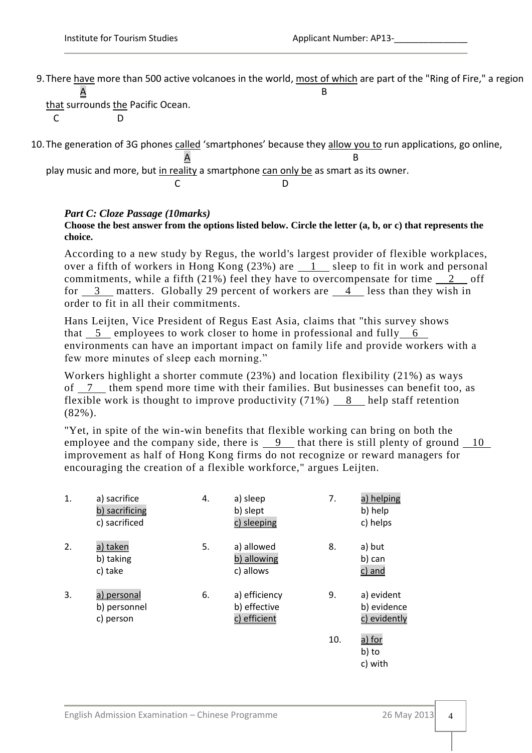9. There have more than 500 active volcanoes in the world, most of which are part of the "Ring of Fire," a region  $\overline{A}$  B

that surrounds the Pacific Ocean. C D

10.The generation of 3G phones called 'smartphones' because they allow you to run applications, go online,  $\overline{A}$  B play music and more, but in reality a smartphone can only be as smart as its owner. C<sub>D</sub> D

## *Part C: Cloze Passage (10marks)*

**Choose the best answer from the options listed below. Circle the letter (a, b, or c) that represents the choice.**

According to a new study by Regus, the world's largest provider of flexible workplaces, over a fifth of workers in Hong Kong  $(23%)$  are  $1$  sleep to fit in work and personal commitments, while a fifth  $(21\%)$  feel they have to overcompensate for time 2 off for  $3$  matters. Globally 29 percent of workers are  $4$  less than they wish in order to fit in all their commitments.

Hans Leijten, Vice President of Regus East Asia, claims that "this survey shows that  $5$  employees to work closer to home in professional and fully  $6$ environments can have an important impact on family life and provide workers with a few more minutes of sleep each morning."

Workers highlight a shorter commute (23%) and location flexibility (21%) as ways of. 7 them spend more time with their families. But businesses can benefit too, as flexible work is thought to improve productivity  $(71\%)$  8 help staff retention (82%).

"Yet, in spite of the win-win benefits that flexible working can bring on both the employee and the company side, there is  $\frac{9}{10}$  that there is still plenty of ground  $\frac{10}{10}$ improvement as half of Hong Kong firms do not recognize or reward managers for encouraging the creation of a flexible workforce," argues Leijten.

| 1. | a) sacrifice<br>b) sacrificing<br>c) sacrificed | 4. | a) sleep<br>b) slept<br>c) sleeping           | 7.  | a) helping<br>b) help<br>c) helps         |
|----|-------------------------------------------------|----|-----------------------------------------------|-----|-------------------------------------------|
| 2. | a) taken<br>b) taking<br>c) take                | 5. | a) allowed<br>b) allowing<br>c) allows        | 8.  | a) but<br>b) can<br>c) and                |
| 3. | a) personal<br>b) personnel<br>c) person        | 6. | a) efficiency<br>b) effective<br>c) efficient | 9.  | a) evident<br>b) evidence<br>c) evidently |
|    |                                                 |    |                                               | 10. | a) for<br>b) to<br>c) with                |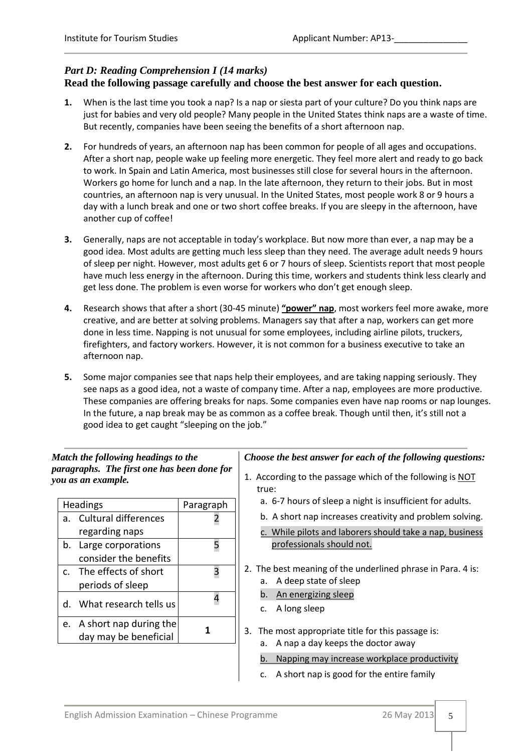## *Part D: Reading Comprehension I (14 marks)*  **Read the following passage carefully and choose the best answer for each question.**

- **1.** When is the last time you took a nap? Is a nap or siesta part of your culture? Do you think naps are just for babies and very old people? Many people in the United States think naps are a waste of time. But recently, companies have been seeing the benefits of a short afternoon nap.
- **2.** For hundreds of years, an afternoon nap has been common for people of all ages and occupations. After a short nap, people wake up feeling more energetic. They feel more alert and ready to go back to work. In Spain and Latin America, most businesses still close for several hours in the afternoon. Workers go home for lunch and a nap. In the late afternoon, they return to their jobs. But in most countries, an afternoon nap is very unusual. In the United States, most people work 8 or 9 hours a day with a lunch break and one or two short coffee breaks. If you are sleepy in the afternoon, have another cup of coffee!
- **3.** Generally, naps are not acceptable in today's workplace. But now more than ever, a nap may be a good idea. Most adults are getting much less sleep than they need. The average adult needs 9 hours of sleep per night. However, most adults get 6 or 7 hours of sleep. Scientists report that most people have much less energy in the afternoon. During this time, workers and students think less clearly and get less done. The problem is even worse for workers who don't get enough sleep.
- **4.** Research shows that after a short (30-45 minute) **"power" nap**, most workers feel more awake, more creative, and are better at solving problems. Managers say that after a nap, workers can get more done in less time. Napping is not unusual for some employees, including airline pilots, truckers, firefighters, and factory workers. However, it is not common for a business executive to take an afternoon nap.
- **5.** Some major companies see that naps help their employees, and are taking napping seriously. They see naps as a good idea, not a waste of company time. After a nap, employees are more productive. These companies are offering breaks for naps. Some companies even have nap rooms or nap lounges. In the future, a nap break may be as common as a coffee break. Though until then, it's still not a good idea to get caught "sleeping on the job."

## *Match the following headings to the paragraphs. The first one has been done for you as an example.*

|                | <b>Headings</b>           | Paragraph |
|----------------|---------------------------|-----------|
|                | Cultural differences      |           |
|                | regarding naps            |           |
| b.             | Large corporations        |           |
|                | consider the benefits     |           |
| $\mathsf{C}$ . | The effects of short      |           |
|                | periods of sleep          |           |
|                | What research tells us    |           |
|                | e. A short nap during the |           |
|                | day may be beneficial     |           |
|                |                           |           |

## *Choose the best answer for each of the following questions:*

- 1. According to the passage which of the following is NOT true:
	- a. 6-7 hours of sleep a night is insufficient for adults.
	- b. A short nap increases creativity and problem solving.
	- c. While pilots and laborers should take a nap, business professionals should not.
- 2. The best meaning of the underlined phrase in Para. 4 is:
	- a. A deep state of sleep
	- b. An energizing sleep
	- c. A long sleep

## 3. The most appropriate title for this passage is:

a. A nap a day keeps the doctor away

```
b. Napping may increase workplace productivity
```
c. A short nap is good for the entire family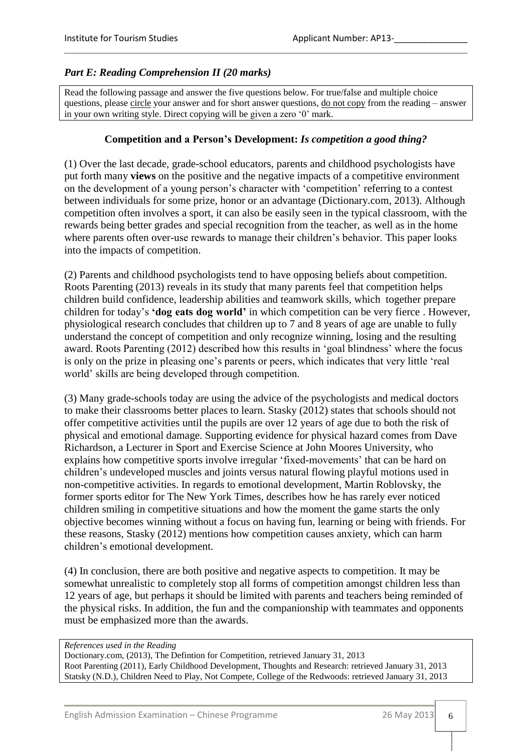## *Part E: Reading Comprehension II (20 marks)*

Read the following passage and answer the five questions below. For true/false and multiple choice questions, please circle your answer and for short answer questions, <u>do not copy</u> from the reading – answer in your own writing style. Direct copying will be given a zero "0" mark.

## **Competition and a Person's Development:** *Is competition a good thing?*

(1) Over the last decade, grade-school educators, parents and childhood psychologists have put forth many **views** on the positive and the negative impacts of a competitive environment on the development of a young person"s character with "competition" referring to a contest between individuals for some prize, honor or an advantage (Dictionary.com, 2013). Although competition often involves a sport, it can also be easily seen in the typical classroom, with the rewards being better grades and special recognition from the teacher, as well as in the home where parents often over-use rewards to manage their children's behavior. This paper looks into the impacts of competition.

(2) Parents and childhood psychologists tend to have opposing beliefs about competition. Roots Parenting (2013) reveals in its study that many parents feel that competition helps children build confidence, leadership abilities and teamwork skills, which together prepare children for today"s **'dog eats dog world'** in which competition can be very fierce . However, physiological research concludes that children up to 7 and 8 years of age are unable to fully understand the concept of competition and only recognize winning, losing and the resulting award. Roots Parenting (2012) described how this results in 'goal blindness' where the focus is only on the prize in pleasing one"s parents or peers, which indicates that very little "real world" skills are being developed through competition.

(3) Many grade-schools today are using the advice of the psychologists and medical doctors to make their classrooms better places to learn. Stasky (2012) states that schools should not offer competitive activities until the pupils are over 12 years of age due to both the risk of physical and emotional damage. Supporting evidence for physical hazard comes from Dave Richardson, a Lecturer in Sport and Exercise Science at John Moores University, who explains how competitive sports involve irregular 'fixed-movements' that can be hard on children"s undeveloped muscles and joints versus natural flowing playful motions used in non-competitive activities. In regards to emotional development, Martin Roblovsky, the former sports editor for The New York Times, describes how he has rarely ever noticed children smiling in competitive situations and how the moment the game starts the only objective becomes winning without a focus on having fun, learning or being with friends. For these reasons, Stasky (2012) mentions how competition causes anxiety, which can harm children"s emotional development.

(4) In conclusion, there are both positive and negative aspects to competition. It may be somewhat unrealistic to completely stop all forms of competition amongst children less than 12 years of age, but perhaps it should be limited with parents and teachers being reminded of the physical risks. In addition, the fun and the companionship with teammates and opponents must be emphasized more than the awards.

#### *References used in the Reading*

Doctionary.com, (2013), The Defintion for Competition, retrieved January 31, 2013 Root Parenting (2011), Early Childhood Development, Thoughts and Research: retrieved January 31, 2013 Statsky (N.D.), Children Need to Play, Not Compete, College of the Redwoods: retrieved January 31, 2013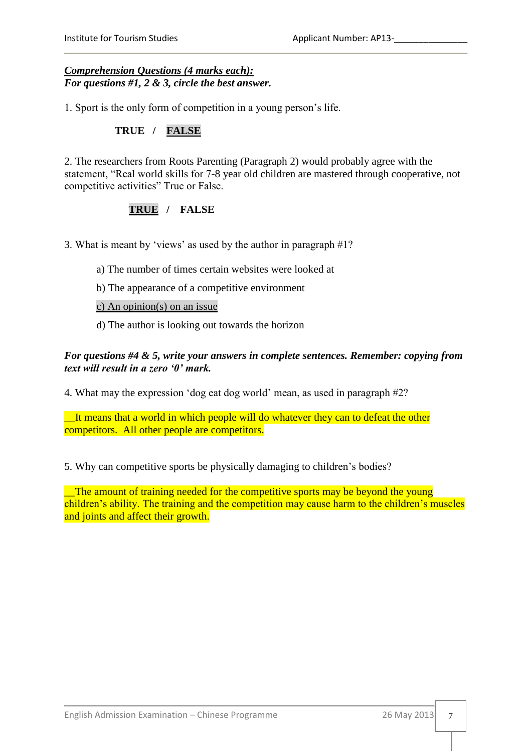### *Comprehension Questions (4 marks each): For questions #1, 2 & 3, circle the best answer.*

1. Sport is the only form of competition in a young person"s life.

## **TRUE / FALSE**

2. The researchers from Roots Parenting (Paragraph 2) would probably agree with the statement, "Real world skills for 7-8 year old children are mastered through cooperative, not competitive activities" True or False.

## **TRUE / FALSE**

3. What is meant by "views" as used by the author in paragraph #1?

- a) The number of times certain websites were looked at
- b) The appearance of a competitive environment

c) An opinion(s) on an issue

d) The author is looking out towards the horizon

## *For questions #4 & 5, write your answers in complete sentences. Remember: copying from text will result in a zero '0' mark.*

4. What may the expression "dog eat dog world" mean, as used in paragraph #2?

It means that a world in which people will do whatever they can to defeat the other competitors. All other people are competitors.

5. Why can competitive sports be physically damaging to children"s bodies?

\_\_The amount of training needed for the competitive sports may be beyond the young children's ability. The training and the competition may cause harm to the children's muscles and joints and affect their growth.